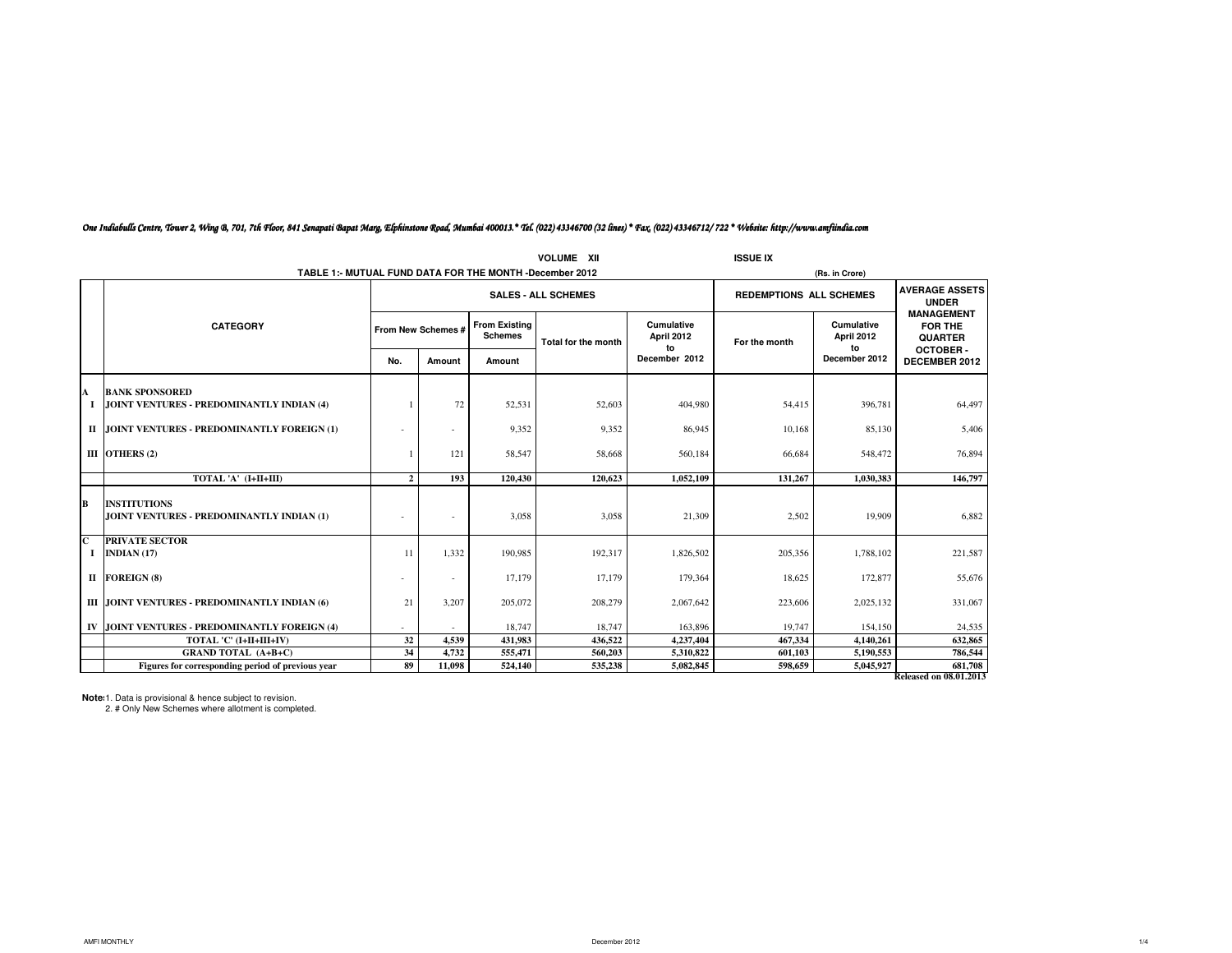|                              |                                                                  |              |                            |                                        | <b>VOLUME XII</b>   |                                | <b>ISSUE IX</b>                |                                       |                                                                          |
|------------------------------|------------------------------------------------------------------|--------------|----------------------------|----------------------------------------|---------------------|--------------------------------|--------------------------------|---------------------------------------|--------------------------------------------------------------------------|
|                              | TABLE 1:- MUTUAL FUND DATA FOR THE MONTH -December 2012          |              |                            |                                        |                     |                                |                                | (Rs. in Crore)                        |                                                                          |
|                              |                                                                  |              | <b>SALES - ALL SCHEMES</b> |                                        |                     |                                | <b>REDEMPTIONS ALL SCHEMES</b> | <b>AVERAGE ASSETS</b><br><b>UNDER</b> |                                                                          |
|                              | <b>CATEGORY</b>                                                  |              | From New Schemes #         | <b>From Existing</b><br><b>Schemes</b> | Total for the month | Cumulative<br>April 2012<br>to | For the month                  | Cumulative<br>April 2012<br>to        | <b>MANAGEMENT</b><br><b>FOR THE</b><br><b>QUARTER</b><br><b>OCTOBER-</b> |
|                              |                                                                  | No.          | Amount                     | Amount                                 |                     | December 2012                  |                                | December 2012                         | DECEMBER 2012                                                            |
| A                            | <b>BANK SPONSORED</b>                                            |              |                            |                                        |                     |                                |                                |                                       |                                                                          |
|                              | JOINT VENTURES - PREDOMINANTLY INDIAN (4)                        |              | 72                         | 52,531                                 | 52,603              | 404,980                        | 54,415                         | 396,781                               | 64,497                                                                   |
|                              | II JOINT VENTURES - PREDOMINANTLY FOREIGN (1)                    |              |                            | 9,352                                  | 9.352               | 86,945                         | 10.168                         | 85,130                                | 5,406                                                                    |
|                              | III OTHERS $(2)$                                                 |              | 121                        | 58,547                                 | 58,668              | 560,184                        | 66,684                         | 548,472                               | 76,894                                                                   |
|                              | TOTAL 'A' (I+II+III)                                             | $\mathbf{2}$ | 193                        | 120,430                                | 120.623             | 1,052,109                      | 131,267                        | 1.030.383                             | 146,797                                                                  |
| B                            | <b>INSTITUTIONS</b><br>JOINT VENTURES - PREDOMINANTLY INDIAN (1) |              |                            | 3,058                                  | 3,058               | 21,309                         | 2,502                          | 19,909                                | 6,882                                                                    |
| $\overline{\mathbf{c}}$<br>1 | <b>PRIVATE SECTOR</b><br>INDIAN $(17)$                           | 11           | 1.332                      | 190,985                                | 192,317             | 1,826,502                      | 205,356                        | 1,788,102                             | 221,587                                                                  |
|                              | II FOREIGN (8)                                                   |              |                            | 17,179                                 | 17,179              | 179,364                        | 18,625                         | 172,877                               | 55,676                                                                   |
|                              | III JOINT VENTURES - PREDOMINANTLY INDIAN (6)                    | 21           | 3,207                      | 205,072                                | 208,279             | 2,067,642                      | 223,606                        | 2,025,132                             | 331,067                                                                  |
|                              | IV JOINT VENTURES - PREDOMINANTLY FOREIGN (4)                    |              |                            | 18,747                                 | 18,747              | 163,896                        | 19,747                         | 154,150                               | 24,535                                                                   |
|                              | TOTAL 'C' (I+II+III+IV)                                          | 32           | 4.539                      | 431.983                                | 436.522             | 4,237,404                      | 467.334                        | 4,140,261                             | 632,865                                                                  |
|                              | <b>GRAND TOTAL (A+B+C)</b>                                       | 34           | 4,732                      | 555,471                                | 560,203             | 5,310,822                      | 601,103                        | 5,190,553                             | 786,544                                                                  |
|                              | Figures for corresponding period of previous year                | 89           | 11,098                     | 524,140                                | 535,238             | 5,082,845                      | 598,659                        | 5,045,927                             | 681,708                                                                  |
|                              |                                                                  |              |                            |                                        |                     |                                |                                |                                       | Released on 08.01.2013                                                   |

### One Indiabulls Centre, Tower 2, Wing B, 701, 7th Floor, 841 Senapati Bapat Marg, Elphinstone Road, Mumbai 400013.\* Tel. (022) 43346700 (32 lines) \* Fax. (022) 43346712/ 722 \* Website: http://www.amfiindia.com

**Note**: 1. Data is provisional & hence subject to revision.

2. # Only New Schemes where allotment is completed.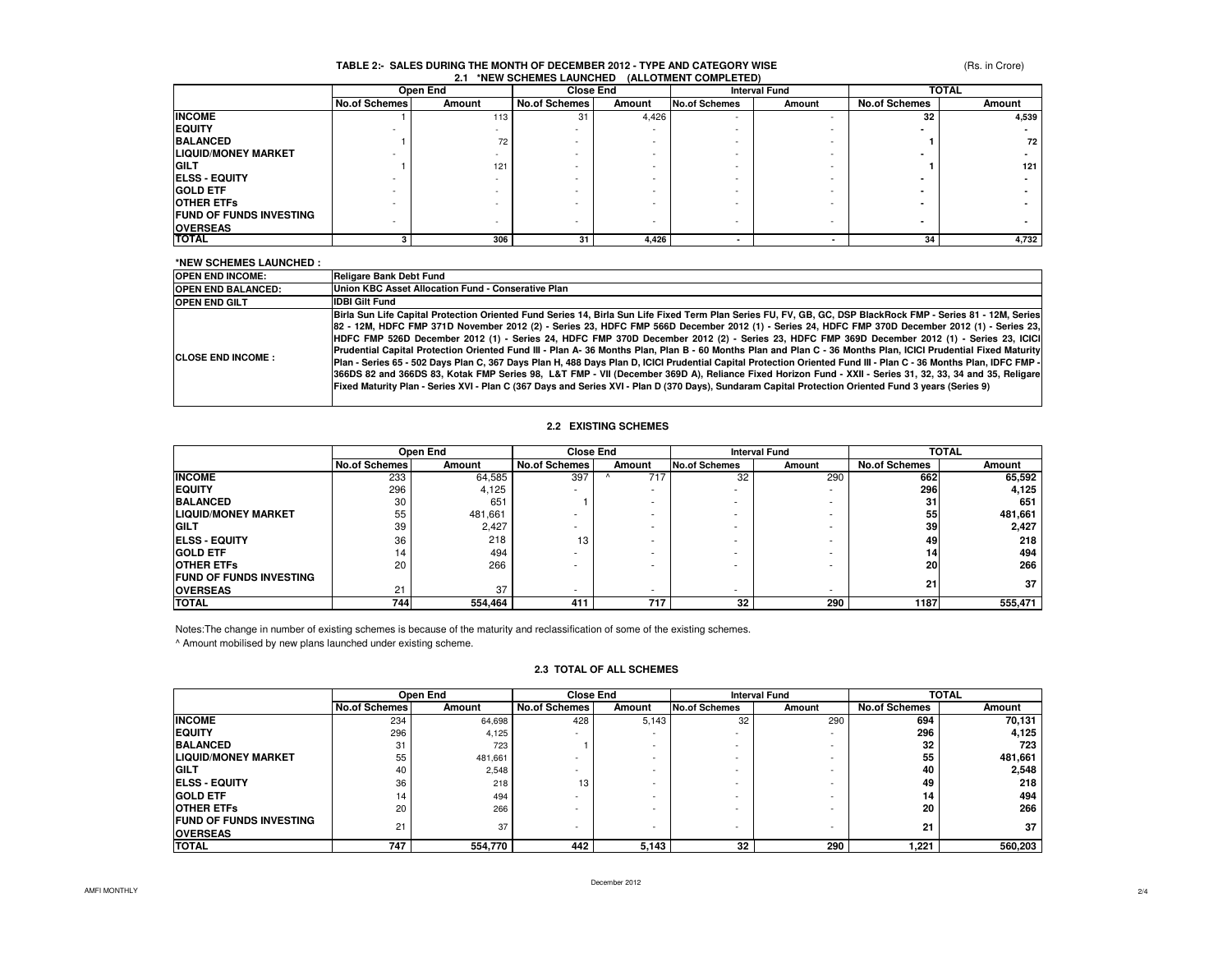### **TABLE 2:- SALES DURING THE MONTH OF DECEMBER 2012 - TYPE AND CATEGORY WISE2.1 \*NEW SCHEMES LAUNCHED (ALLOTMENT COMPLETED)**

|                                | Open End             |        | <b>Close End</b>     |        | <b>Interval Fund</b> |        | <b>TOTAL</b>         |        |
|--------------------------------|----------------------|--------|----------------------|--------|----------------------|--------|----------------------|--------|
|                                | <b>No.of Schemes</b> | Amount | <b>No.of Schemes</b> | Amount | No.of Schemes        | Amount | <b>No.of Schemes</b> | Amount |
| <b>INCOME</b>                  |                      | 113    | 31                   | 4,426  |                      |        | 32                   | 4,539  |
| <b>EQUITY</b>                  |                      |        |                      |        |                      |        |                      |        |
| <b>BALANCED</b>                |                      | 72     |                      |        |                      |        |                      | 72     |
| <b>LIQUID/MONEY MARKET</b>     |                      |        |                      |        |                      |        |                      |        |
| <b>GILT</b>                    |                      | 121    |                      |        |                      |        |                      | 121    |
| <b>ELSS - EQUITY</b>           |                      |        |                      |        |                      |        |                      |        |
| <b>GOLD ETF</b>                |                      |        |                      |        |                      |        |                      |        |
| <b>OTHER ETFS</b>              |                      |        |                      |        |                      |        |                      |        |
| <b>FUND OF FUNDS INVESTING</b> |                      |        |                      |        |                      |        |                      |        |
| <b>OVERSEAS</b>                |                      |        |                      |        |                      |        |                      |        |
| <b>TOTAL</b>                   |                      | 306    | 31                   | 4.426  |                      |        | 34                   | 4,732  |

#### **\*NEW SCHEMES LAUNCHED :**

| <b>OPEN END INCOME:</b>    | <b>Religare Bank Debt Fund</b>                                                                                                                                                                                                                                                                                                                                                                                                                                                                                                                                                                                                                                                                                                                                                                                                                                                                                                                                                                                                                                                                                               |
|----------------------------|------------------------------------------------------------------------------------------------------------------------------------------------------------------------------------------------------------------------------------------------------------------------------------------------------------------------------------------------------------------------------------------------------------------------------------------------------------------------------------------------------------------------------------------------------------------------------------------------------------------------------------------------------------------------------------------------------------------------------------------------------------------------------------------------------------------------------------------------------------------------------------------------------------------------------------------------------------------------------------------------------------------------------------------------------------------------------------------------------------------------------|
| <b>OPEN END BALANCED:</b>  | Union KBC Asset Allocation Fund - Conserative Plan                                                                                                                                                                                                                                                                                                                                                                                                                                                                                                                                                                                                                                                                                                                                                                                                                                                                                                                                                                                                                                                                           |
| <b>OPEN END GILT</b>       | <b>IDBI Gilt Fund</b>                                                                                                                                                                                                                                                                                                                                                                                                                                                                                                                                                                                                                                                                                                                                                                                                                                                                                                                                                                                                                                                                                                        |
| <b>ICLOSE END INCOME :</b> | Birla Sun Life Capital Protection Oriented Fund Series 14, Birla Sun Life Fixed Term Plan Series FU, FV, GB, GC, DSP BlackRock FMP - Series 81 - 12M, Series<br>[82 - 12M, HDFC FMP 371D November 2012 (2) - Series 23, HDFC FMP 566D December 2012 (1) - Series 24, HDFC FMP 370D December 2012 (1) - Series 23,<br>HDFC FMP 526D December 2012 (1) - Series 24, HDFC FMP 370D December 2012 (2) - Series 23, HDFC FMP 369D December 2012 (1) - Series 23, ICICI<br>Prudential Capital Protection Oriented Fund III - Plan A- 36 Months Plan, Plan B - 60 Months Plan and Plan C - 36 Months Plan, ICICI Prudential Fixed Maturity<br>Plan - Series 65 - 502 Days Plan C, 367 Days Plan H, 488 Days Plan D, ICICI Prudential Capital Protection Oriented Fund III - Plan C - 36 Months Plan, IDFC FMP -<br>366DS 82 and 366DS 83, Kotak FMP Series 98, L&T FMP - VII (December 369D A), Reliance Fixed Horizon Fund - XXII - Series 31, 32, 33, 34 and 35, Religare<br>Fixed Maturity Plan - Series XVI - Plan C (367 Days and Series XVI - Plan D (370 Days), Sundaram Capital Protection Oriented Fund 3 years (Series 9) |

### **2.2 EXISTING SCHEMES**

|                                 |               | Open End | <b>Close End</b>     |        |                 | <b>Interval Fund</b> |                      | <b>TOTAL</b> |
|---------------------------------|---------------|----------|----------------------|--------|-----------------|----------------------|----------------------|--------------|
|                                 | No.of Schemes | Amount   | <b>No.of Schemes</b> | Amount | No.of Schemes   | Amount               | <b>No.of Schemes</b> | Amount       |
| <b>INCOME</b>                   | 233           | 64,585   | 397                  | 717    | 32              | 290                  | 662                  | 65,592       |
| <b>EQUITY</b>                   | 296           | 4,125    | -                    | $\sim$ | ۰               |                      | 296                  | 4,125        |
| <b>BALANCED</b>                 | 30            | 651      |                      |        | ۰               |                      | 31                   | 651          |
| <b>LIQUID/MONEY MARKET</b>      | 55            | 481.661  |                      |        |                 |                      | 55                   | 481,661      |
| <b>IGILT</b>                    | 39            | 2,427    |                      |        |                 |                      | 39                   | 2,427        |
| <b>IELSS - EQUITY</b>           | 36            | 218      | 13                   |        | ۰               |                      | 49                   | 218          |
| <b>GOLD ETF</b>                 | 14            | 494      |                      |        | ۰               |                      | 14                   | 494          |
| <b>OTHER ETFS</b>               | 20            | 266      |                      |        | ۰               |                      | <b>20</b>            | 266          |
| <b>IFUND OF FUNDS INVESTING</b> |               |          |                      |        |                 |                      | 21                   | 37           |
| <b>OVERSEAS</b>                 | 21            | 37       | . .                  |        |                 |                      |                      |              |
| <b>TOTAL</b>                    | 744           | 554,464  | 411                  | 717    | 32 <sub>1</sub> | 290                  | 1187                 | 555,471      |

Notes:The change in number of existing schemes is because of the maturity and reclassification of some of the existing schemes.

^ Amount mobilised by new plans launched under existing scheme.

|                                |                      | Open End | <b>Close End</b>     |        |                          | <b>Interval Fund</b> |                      | <b>TOTAL</b> |  |
|--------------------------------|----------------------|----------|----------------------|--------|--------------------------|----------------------|----------------------|--------------|--|
|                                | <b>No.of Schemes</b> | Amount   | <b>No.of Schemes</b> | Amount | <b>No.of Schemes</b>     | Amount               | <b>No.of Schemes</b> | Amount       |  |
| <b>INCOME</b>                  | 234                  | 64,698   | 428                  | 5,143  | 32                       | 290                  | 694                  | 70,131       |  |
| <b>EQUITY</b>                  | 296                  | 4,125    |                      |        | $\overline{\phantom{0}}$ |                      | 296                  | 4.125        |  |
| <b>BALANCED</b>                | 31                   | 723      |                      |        | $\overline{\phantom{0}}$ |                      | 32                   | 723          |  |
| ILIQUID/MONEY MARKET           | 55                   | 481,661  |                      |        | <b>.</b>                 |                      | 55                   | 481,661      |  |
| <b>GILT</b>                    | 40                   | 2,548    | ۰                    |        | <b>.</b>                 |                      | 40                   | 2,548        |  |
| <b>IELSS - EQUITY</b>          | 36                   | 218      | 13                   |        | <b>.</b>                 |                      | 49                   | 218          |  |
| <b>GOLD ETF</b>                | 14                   | 494      |                      |        | <b>.</b>                 |                      | 14.                  | 494          |  |
| <b>OTHER ETFS</b>              | 20                   | 266      |                      |        | <b>.</b>                 |                      | 20                   | 266          |  |
| <b>FUND OF FUNDS INVESTING</b> | 21                   | 37       | <b>.</b>             |        | $\overline{\phantom{a}}$ |                      | 21                   | 37           |  |
| <b>OVERSEAS</b>                |                      |          |                      |        |                          |                      |                      |              |  |
| <b>TOTAL</b>                   | 747                  | 554,770  | 442                  | 5.143  | 32                       | 290                  | 221.ء                | 560,203      |  |

#### **2.3 TOTAL OF ALL SCHEMES**

 $\mathbb{R}^2$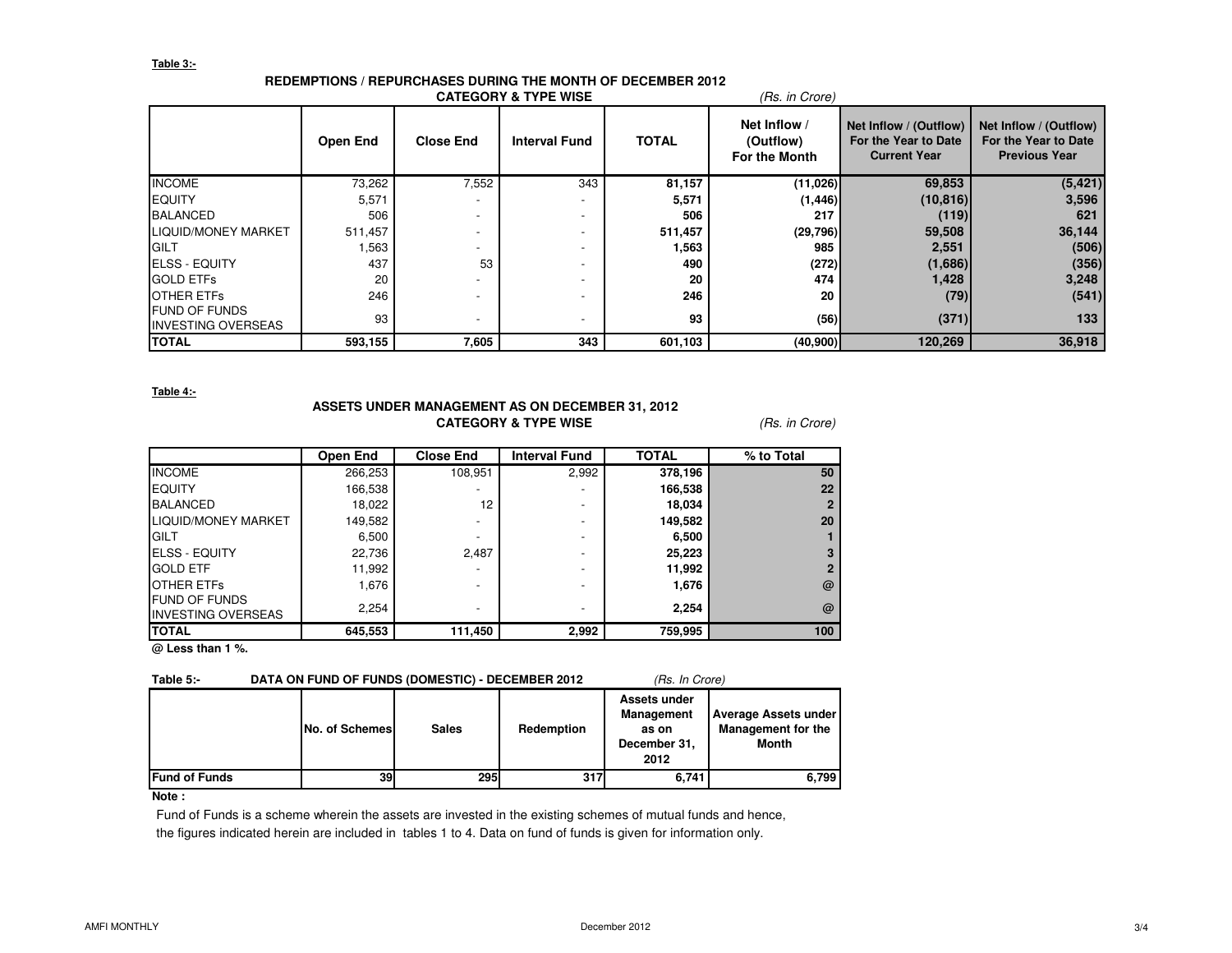## **Table 3:-**

# **REDEMPTIONS / REPURCHASES DURING THE MONTH OF DECEMBER 2012**

|                                                   |                 |                  | <b>CATEGORY &amp; TYPE WISE</b> |              | (Rs. in Crore)                                    |                                                                       |                                                                        |
|---------------------------------------------------|-----------------|------------------|---------------------------------|--------------|---------------------------------------------------|-----------------------------------------------------------------------|------------------------------------------------------------------------|
|                                                   | <b>Open End</b> | <b>Close End</b> | <b>Interval Fund</b>            | <b>TOTAL</b> | Net Inflow /<br>(Outflow)<br><b>For the Month</b> | Net Inflow / (Outflow)<br>For the Year to Date<br><b>Current Year</b> | Net Inflow / (Outflow)<br>For the Year to Date<br><b>Previous Year</b> |
| <b>INCOME</b>                                     | 73,262          | 7,552            | 343                             | 81,157       | (11,026)                                          | 69,853                                                                | (5, 421)                                                               |
| <b>EQUITY</b>                                     | 5,571           |                  | $\overline{\phantom{a}}$        | 5,571        | (1, 446)                                          | (10, 816)                                                             | 3,596                                                                  |
| <b>BALANCED</b>                                   | 506             |                  | $\overline{\phantom{0}}$        | 506          | 217                                               | (119)                                                                 | 621                                                                    |
| LIQUID/MONEY MARKET                               | 511,457         |                  |                                 | 511,457      | (29,796)                                          | 59,508                                                                | 36,144                                                                 |
| <b>GILT</b>                                       | 1,563           |                  | $\overline{\phantom{0}}$        | 1,563        | 985                                               | 2,551                                                                 | (506)                                                                  |
| <b>ELSS - EQUITY</b>                              | 437             | 53               | -                               | 490          | (272)                                             | (1,686)                                                               | (356)                                                                  |
| <b>GOLD ETFS</b>                                  | 20              |                  |                                 | 20           | 474                                               | 1,428                                                                 | 3,248                                                                  |
| <b>OTHER ETFS</b>                                 | 246             |                  | $\overline{\phantom{0}}$        | 246          | 20                                                | (79)                                                                  | (541)                                                                  |
| <b>FUND OF FUNDS</b><br><b>INVESTING OVERSEAS</b> | 93              |                  |                                 | 93           | (56)                                              | (371)                                                                 | 133                                                                    |
| <b>TOTAL</b>                                      | 593,155         | 7,605            | 343                             | 601,103      | (40, 900)                                         | 120,269                                                               | 36,918                                                                 |

**Table 4:-**

## **ASSETS UNDER MANAGEMENT AS ON DECEMBER 31, 2012CATEGORY & TYPE WISE** (Rs. in Crore)

|                                                   | Open End | <b>Close End</b> | <b>Interval Fund</b> | <b>TOTAL</b> | % to Total |
|---------------------------------------------------|----------|------------------|----------------------|--------------|------------|
| <b>INCOME</b>                                     | 266,253  | 108,951          | 2,992                | 378,196      | 50         |
| <b>EQUITY</b>                                     | 166,538  |                  |                      | 166,538      | 22         |
| <b>BALANCED</b>                                   | 18,022   | 12               |                      | 18,034       |            |
| LIQUID/MONEY MARKET                               | 149,582  | -                |                      | 149,582      | 20         |
| <b>IGILT</b>                                      | 6,500    |                  |                      | 6,500        |            |
| <b>IELSS - EQUITY</b>                             | 22,736   | 2.487            |                      | 25,223       |            |
| <b>GOLD ETF</b>                                   | 11,992   | -                |                      | 11,992       |            |
| <b>OTHER ETFS</b>                                 | 1,676    | -                |                      | 1,676        | $\omega$   |
| <b>FUND OF FUNDS</b><br><b>INVESTING OVERSEAS</b> | 2,254    | -                |                      | 2,254        | @          |
| <b>ITOTAL</b>                                     | 645,553  | 111,450          | 2,992                | 759,995      | 100        |

**@ Less than 1 %.**

## **Table 5:-** DATA ON FUND OF FUNDS (DOMESTIC) - DECEMBER 2012 (Rs. In Crore)

|                      | <b>No. of Schemes</b> | <b>Sales</b> | Redemption | Assets under<br><b>Management</b><br>as on<br>December 31,<br>2012 | <b>Average Assets under</b><br><b>Management for the</b><br>Month |
|----------------------|-----------------------|--------------|------------|--------------------------------------------------------------------|-------------------------------------------------------------------|
| <b>Fund of Funds</b> | 39                    | <b>295</b>   | 317        | 6,741                                                              | 6,799                                                             |

### **Note :**

 Fund of Funds is a scheme wherein the assets are invested in the existing schemes of mutual funds and hence, the figures indicated herein are included in tables 1 to 4. Data on fund of funds is given for information only.